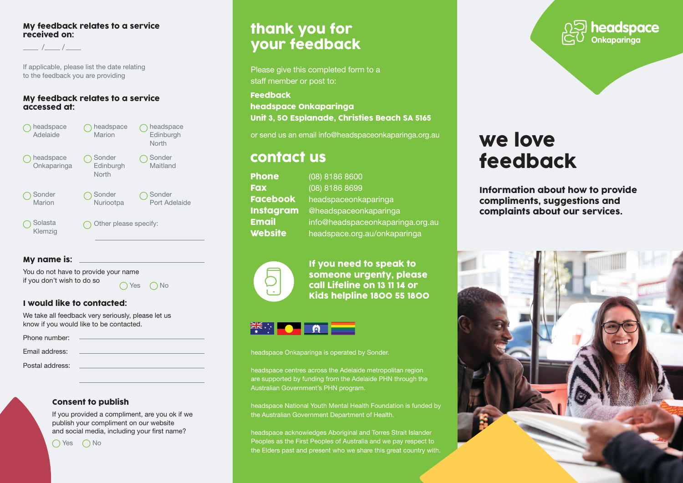#### My feedback relates to a service received on:

/ /

If applicable, please list the date relating to the feedback you are providing

#### My feedback relates to a service accessed at:



### My name is:

You do not have to provide your name if you don't wish to do so

 $\bigcap$  Yes  $\bigcap$  No

### I would like to contacted:

We take all feedback very seriously, please let us know if you would like to be contacted.

| Phone number:   |  |
|-----------------|--|
| Email address:  |  |
| Postal address: |  |
|                 |  |

#### Consent to publish

If you provided a compliment, are you ok if we publish your compliment on our website and social media, including your first name?

 $\bigcap$  Yes  $\bigcap$  No

## thank you for your feedback

Please give this completed form to a staff member or post to:

Feedback headspace Onkaparinga Unit 3, 50 Esplanade, Christies Beach SA 5165

or send us an email [info@](mailto:info@sonder.net.au)headspaceonkaparinga.org.au

## contact us

| <b>Phone</b>     | (08) 8186 8600                   |
|------------------|----------------------------------|
| <b>Fax</b>       | (08) 8186 8699                   |
| <b>Facebook</b>  | headspaceonkaparinga             |
| <b>Instagram</b> | @headspaceonkaparinga            |
| <b>Email</b>     | info@headspaceonkaparinga.org.au |
| <b>Website</b>   | headspace.org.au/onkaparinga     |



If you need to speak to someone urgenty, please call Lifeline on 13 11 14 or Kids helpline 1800 55 1800

## **PIKE OF A**

headspace Onkaparinga is operated by Sonder.

headspace centres across the Adelaide metropolitan region are supported by funding from the Adelaide PHN through the Australian Government's PHN program.

headspace National Youth Mental Health Foundation is funded by the Australian Government Department of Health.

headspace acknowledges Aboriginal and Torres Strait Islander Peoples as the First Peoples of Australia and we pay respect to the Elders past and present who we share this great country with.



# we love feedback

Information about how to provide compliments, suggestions and complaints about our services.